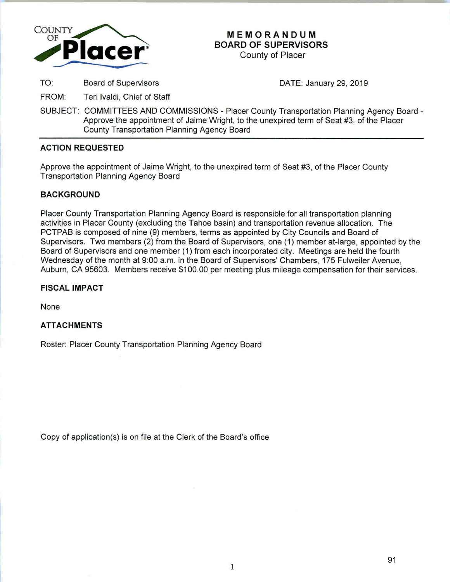

# **MEMORANDUM BOARD OF SUPERVISORS**

County of Placer

TO: Board of Supervisors DATE: January 29, 2019

FROM: Teri lvaldi, Chief of Staff

SUBJECT: COMMITTEES AND COMMISSIONS - Placer County Transportation Planning Agency Board - Approve the appointment of Jaime Wright, to the unexpired term of Seat #3, of the Placer County Transportation Planning Agency Board

# **ACTION REQUESTED**

Approve the appointment of Jaime Wright, to the unexpired term of Seat #3, of the Placer County Transportation Planning Agency Board

# **BACKGROUND**

Placer County Transportation Planning Agency Board is responsible for all transportation planning activities in Placer County (excluding the Tahoe basin) and transportation revenue allocation. The PCTPAB is composed of nine (9) members, terms as appointed by City Councils and Board of Supervisors. Two members (2) from the Board of Supervisors, one (1) member at-large, appointed by the Board of Supervisors and one member (1) from each incorporated city. Meetings are held the fourth Wednesday of the month at 9:00 a.m. in the Board of Supervisors' Chambers, 175 Fulweiler Avenue, Auburn, CA 95603. Members receive \$100.00 per meeting plus mileage compensation for their services.

# **FISCAL IMPACT**

None

# **ATTACHMENTS**

Roster: Placer County Transportation Planning Agency Board

Copy of application(s) is on file at the Clerk of the Board's office